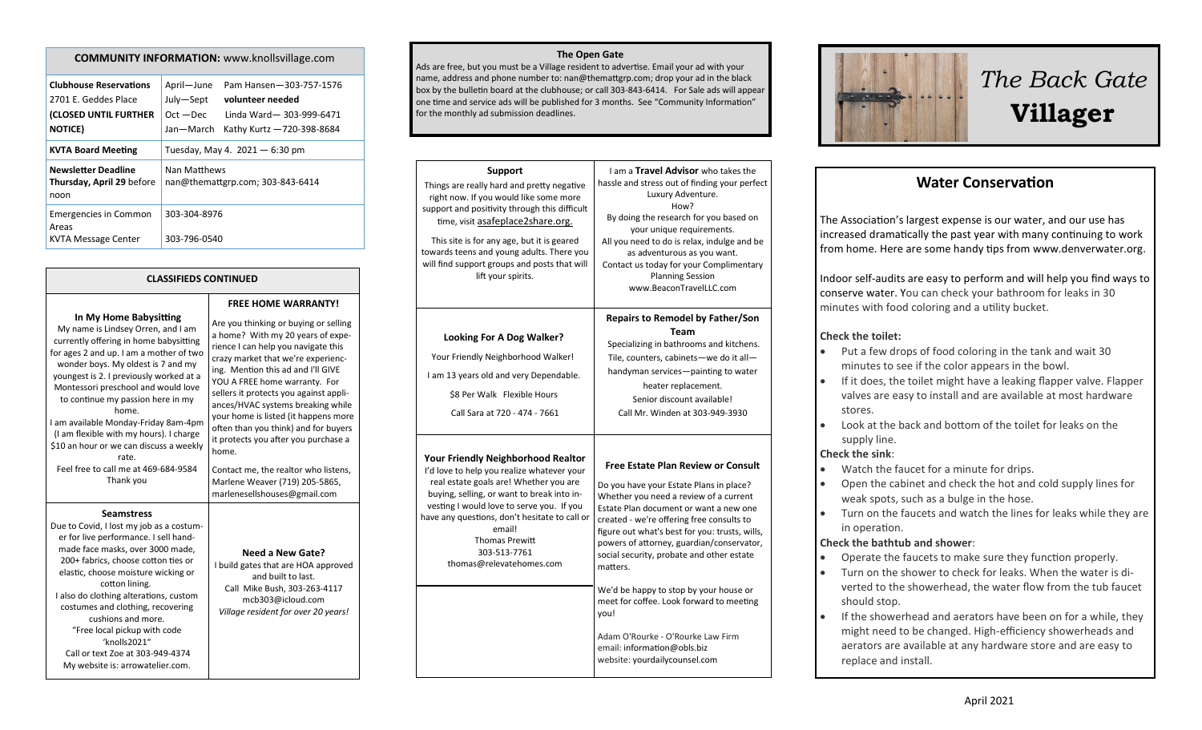#### **COMMUNITY INFORMATION:** www.knollsvillage.com

| <b>Clubhouse Reservations</b><br>2701 F. Geddes Place<br>(CLOSED UNTIL FURTHER<br><b>NOTICE</b> ) | April-June<br>July-Sept<br>$Oct - Dec$<br>Jan-March | Pam Hansen-303-757-1576<br>volunteer needed<br>Linda Ward-303-999-6471<br>Kathy Kurtz - 720-398-8684 |
|---------------------------------------------------------------------------------------------------|-----------------------------------------------------|------------------------------------------------------------------------------------------------------|
| <b>KVTA Board Meeting</b>                                                                         | Tuesday, May 4. $2021 - 6:30$ pm                    |                                                                                                      |
| <b>Newsletter Deadline</b><br>Thursday, April 29 before<br>noon                                   | Nan Matthews<br>nan@themattgrp.com; 303-843-6414    |                                                                                                      |
| <b>Emergencies in Common</b><br>Areas<br><b>KVTA Message Center</b>                               | 303-304-8976<br>303-796-0540                        |                                                                                                      |

#### **CLASSIFIEDS CONTINUED**

#### **In My Home Babysitting**

My name is Lindsey Orren, and I am currently offering in home babysitting for ages 2 and up. I am a mother of two wonder boys. My oldest is 7 and my youngest is 2. I previously worked at a Montessori preschool and would love to continue my passion here in my home. I am available Monday-Friday 8am-4pm (I am flexible with my hours). I charge \$10 an hour or we can discuss a weekly rate. Feel free to call me at 469-684-9584 Thank you

#### **Seamstress**

Due to Covid, I lost my job as a costumer for live performance. I sell handmade face masks, over 3000 made, 200+ fabrics, choose cotton ties or elastic, choose moisture wicking or cotton lining. I also do clothing alterations, custom costumes and clothing, recovering cushions and more. "Free local pickup with code 'knolls2021" Call or text Zoe at 303-949-4374 My website is: arrowatelier.com.

**FREE HOME WARRANTY!** Are you thinking or buying or selling a home? With my 20 years of experience I can help you navigate this crazy market that we're experiencing. Mention this ad and I'll GIVE YOU A FREE home warranty. For sellers it protects you against appliances/HVAC systems breaking while your home is listed (it happens more often than you think) and for buyers it protects you after you purchase a home. Contact me, the realtor who listens, Marlene Weaver (719) 205-5865,

marlenesellshouses@gmail.com

#### **Need a New Gate?** I build gates that are HOA approved and built to last. Call Mike Bush, 303-263-4117 mcb303@icloud.com *Village resident for over 20 years!*

#### **The Open Gate**

Ads are free, but you must be a Village resident to advertise. Email your ad with your name, address and phone number to: nan@themattgrp.com; drop your ad in the black box by the bulletin board at the clubhouse; or call 303-843-6414. For Sale ads will appear one time and service ads will be published for 3 months. See "Community Information" for the monthly ad submission deadlines.

| <b>Support</b><br>Things are really hard and pretty negative<br>right now. If you would like some more<br>support and positivity through this difficult<br>time, visit asafeplace2share.org.<br>This site is for any age, but it is geared<br>towards teens and young adults. There you<br>will find support groups and posts that will<br>lift your spirits. | I am a <b>Travel Advisor</b> who takes the<br>hassle and stress out of finding your perfect<br>Luxury Adventure.<br>How?<br>By doing the research for you based on<br>your unique requirements.<br>All you need to do is relax, indulge and be<br>as adventurous as you want.<br>Contact us today for your Complimentary<br><b>Planning Session</b><br>www.BeaconTravelLLC.com                                                                                                                                                                                                   |
|---------------------------------------------------------------------------------------------------------------------------------------------------------------------------------------------------------------------------------------------------------------------------------------------------------------------------------------------------------------|----------------------------------------------------------------------------------------------------------------------------------------------------------------------------------------------------------------------------------------------------------------------------------------------------------------------------------------------------------------------------------------------------------------------------------------------------------------------------------------------------------------------------------------------------------------------------------|
| <b>Looking For A Dog Walker?</b><br>Your Friendly Neighborhood Walker!<br>I am 13 years old and very Dependable.<br>\$8 Per Walk Flexible Hours<br>Call Sara at 720 - 474 - 7661                                                                                                                                                                              | Repairs to Remodel by Father/Son<br>Team<br>Specializing in bathrooms and kitchens.<br>Tile, counters, cabinets-we do it all-<br>handyman services-painting to water<br>heater replacement.<br>Senior discount available!<br>Call Mr. Winden at 303-949-3930                                                                                                                                                                                                                                                                                                                     |
| <b>Your Friendly Neighborhood Realtor</b><br>I'd love to help you realize whatever your<br>real estate goals are! Whether you are<br>buying, selling, or want to break into in-<br>vesting I would love to serve you. If you<br>have any questions, don't hesitate to call or<br>email!<br><b>Thomas Prewitt</b><br>303-513-7761<br>thomas@relevatehomes.com  | <b>Free Estate Plan Review or Consult</b><br>Do you have your Estate Plans in place?<br>Whether you need a review of a current<br>Estate Plan document or want a new one<br>created - we're offering free consults to<br>figure out what's best for you: trusts, wills,<br>powers of attorney, guardian/conservator,<br>social security, probate and other estate<br>matters.<br>We'd be happy to stop by your house or<br>meet for coffee. Look forward to meeting<br>you!<br>Adam O'Rourke - O'Rourke Law Firm<br>email: information@obls.biz<br>website: yourdailycounsel.com |



# *The Back Gate*  **Villager**

## **Water Conservation**

The Association's largest expense is our water, and our use has increased dramatically the past year with many continuing to work from home. Here are some handy tips from www.denverwater.org.

Indoor self-audits are easy to perform and will help you find ways to conserve water. You can check your bathroom for leaks in 30 minutes with food coloring and a utility bucket.

#### **Check the toilet:**

- Put a few drops of food coloring in the tank and wait 30 minutes to see if the color appears in the bowl.
- If it does, the toilet might have a leaking flapper valve. Flapper valves are easy to install and are available at most hardware stores.
- Look at the back and bottom of the toilet for leaks on the supply line.

#### **Check the sink**:

- Watch the faucet for a minute for drips.
- Open the cabinet and check the hot and cold supply lines for weak spots, such as a bulge in the hose.
- Turn on the faucets and watch the lines for leaks while they are in operation.

#### **Check the bathtub and shower**:

- Operate the faucets to make sure they function properly.
- Turn on the shower to check for leaks. When the water is diverted to the showerhead, the water flow from the tub faucet should stop.
- If the showerhead and aerators have been on for a while, they might need to be changed. High-efficiency showerheads and aerators are available at any hardware store and are easy to replace and install.